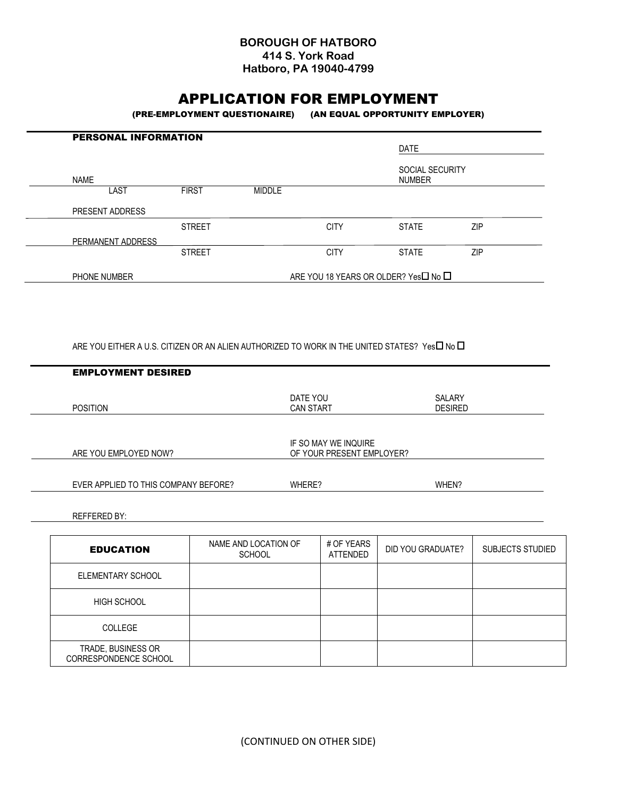## **BOROUGH OF HATBORO 414 S. York Road Hatboro, PA 19040-4799**

# APPLICATION FOR EMPLOYMENT

(PRE-EMPLOYMENT QUESTIONAIRE) (AN EQUAL OPPORTUNITY EMPLOYER)

| <b>PERSONAL INFORMATION</b> |               |                                              |             | <b>DATE</b>                      |     |  |
|-----------------------------|---------------|----------------------------------------------|-------------|----------------------------------|-----|--|
|                             |               |                                              |             |                                  |     |  |
| <b>NAME</b>                 |               |                                              |             | SOCIAL SECURITY<br><b>NUMBER</b> |     |  |
| LAST                        | <b>FIRST</b>  | <b>MIDDLE</b>                                |             |                                  |     |  |
| PRESENT ADDRESS             |               |                                              |             |                                  |     |  |
|                             | <b>STREET</b> |                                              | <b>CITY</b> | <b>STATE</b>                     | ZIP |  |
| PERMANENT ADDRESS           |               |                                              |             |                                  |     |  |
|                             | <b>STREET</b> |                                              | <b>CITY</b> | <b>STATE</b>                     | ZIP |  |
| PHONE NUMBER                |               | ARE YOU 18 YEARS OR OLDER? Yes <b>□</b> No □ |             |                                  |     |  |

ARE YOU EITHER A U.S. CITIZEN OR AN ALIEN AUTHORIZED TO WORK IN THE UNITED STATES? Yes $\Box$  No  $\Box$ 

| DATE YOU<br><b>CAN START</b> | SALARY<br><b>DESIRED</b>  |
|------------------------------|---------------------------|
|                              |                           |
| IF SO MAY WE INQUIRE         |                           |
|                              |                           |
| WHERE?                       | WHEN?                     |
|                              |                           |
|                              | OF YOUR PRESENT EMPLOYER? |

| <b>EDUCATION</b>                            | NAME AND LOCATION OF<br><b>SCHOOL</b> | # OF YEARS<br><b>ATTENDED</b> | DID YOU GRADUATE? | SUBJECTS STUDIED |
|---------------------------------------------|---------------------------------------|-------------------------------|-------------------|------------------|
| ELEMENTARY SCHOOL                           |                                       |                               |                   |                  |
| <b>HIGH SCHOOL</b>                          |                                       |                               |                   |                  |
| <b>COLLEGE</b>                              |                                       |                               |                   |                  |
| TRADE, BUSINESS OR<br>CORRESPONDENCE SCHOOL |                                       |                               |                   |                  |